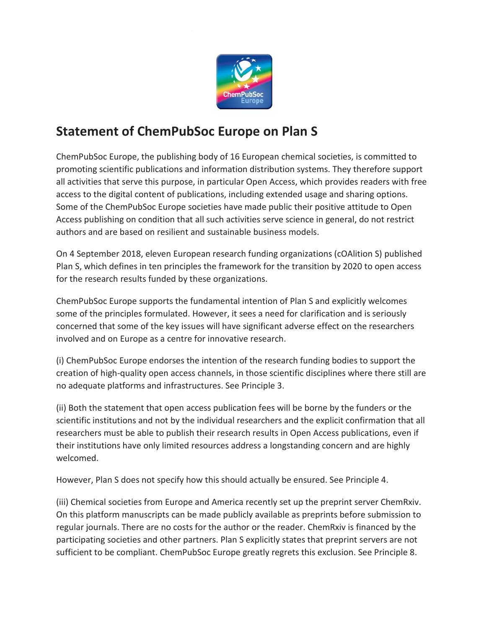

## **Statement of ChemPubSoc Europe on Plan S**

ChemPubSoc Europe, the publishing body of 16 European chemical societies, is committed to promoting scientific publications and information distribution systems. They therefore support all activities that serve this purpose, in particular Open Access, which provides readers with free access to the digital content of publications, including extended usage and sharing options. Some of the ChemPubSoc Europe societies have made public their positive attitude to Open Access publishing on condition that all such activities serve science in general, do not restrict authors and are based on resilient and sustainable business models.

On 4 September 2018, eleven European research funding organizations (cOAlition S) published Plan S, which defines in ten principles the framework for the transition by 2020 to open access for the research results funded by these organizations.

ChemPubSoc Europe supports the fundamental intention of Plan S and explicitly welcomes some of the principles formulated. However, it sees a need for clarification and is seriously concerned that some of the key issues will have significant adverse effect on the researchers involved and on Europe as a centre for innovative research.

(i) ChemPubSoc Europe endorses the intention of the research funding bodies to support the creation of high-quality open access channels, in those scientific disciplines where there still are no adequate platforms and infrastructures. See Principle 3.

(ii) Both the statement that open access publication fees will be borne by the funders or the scientific institutions and not by the individual researchers and the explicit confirmation that all researchers must be able to publish their research results in Open Access publications, even if their institutions have only limited resources address a longstanding concern and are highly welcomed.

However, Plan S does not specify how this should actually be ensured. See Principle 4.

(iii) Chemical societies from Europe and America recently set up the preprint server ChemRxiv. On this platform manuscripts can be made publicly available as preprints before submission to regular journals. There are no costs for the author or the reader. ChemRxiv is financed by the participating societies and other partners. Plan S explicitly states that preprint servers are not sufficient to be compliant. ChemPubSoc Europe greatly regrets this exclusion. See Principle 8.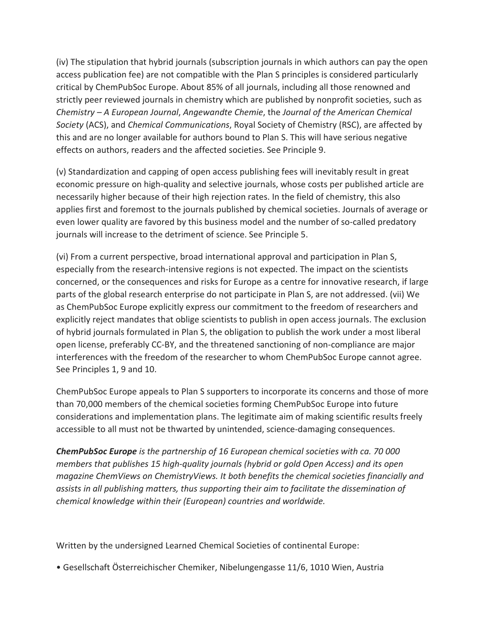(iv) The stipulation that hybrid journals (subscription journals in which authors can pay the open access publication fee) are not compatible with the Plan S principles is considered particularly critical by ChemPubSoc Europe. About 85% of all journals, including all those renowned and strictly peer reviewed journals in chemistry which are published by nonprofit societies, such as *Chemistry – A European Journal*, *Angewandte Chemie*, the *Journal of the American Chemical Society* (ACS), and *Chemical Communications*, Royal Society of Chemistry (RSC), are affected by this and are no longer available for authors bound to Plan S. This will have serious negative effects on authors, readers and the affected societies. See Principle 9.

(v) Standardization and capping of open access publishing fees will inevitably result in great economic pressure on high-quality and selective journals, whose costs per published article are necessarily higher because of their high rejection rates. In the field of chemistry, this also applies first and foremost to the journals published by chemical societies. Journals of average or even lower quality are favored by this business model and the number of so-called predatory journals will increase to the detriment of science. See Principle 5.

(vi) From a current perspective, broad international approval and participation in Plan S, especially from the research-intensive regions is not expected. The impact on the scientists concerned, or the consequences and risks for Europe as a centre for innovative research, if large parts of the global research enterprise do not participate in Plan S, are not addressed. (vii) We as ChemPubSoc Europe explicitly express our commitment to the freedom of researchers and explicitly reject mandates that oblige scientists to publish in open access journals. The exclusion of hybrid journals formulated in Plan S, the obligation to publish the work under a most liberal open license, preferably CC-BY, and the threatened sanctioning of non-compliance are major interferences with the freedom of the researcher to whom ChemPubSoc Europe cannot agree. See Principles 1, 9 and 10.

ChemPubSoc Europe appeals to Plan S supporters to incorporate its concerns and those of more than 70,000 members of the chemical societies forming ChemPubSoc Europe into future considerations and implementation plans. The legitimate aim of making scientific results freely accessible to all must not be thwarted by unintended, science-damaging consequences.

*ChemPubSoc Europe is the partnership of 16 European chemical societies with ca. 70 000 members that publishes 15 high-quality journals (hybrid or gold Open Access) and its open magazine ChemViews on ChemistryViews. It both benefits the chemical societies financially and assists in all publishing matters, thus supporting their aim to facilitate the dissemination of chemical knowledge within their (European) countries and worldwide.* 

Written by the undersigned Learned Chemical Societies of continental Europe:

• Gesellschaft Österreichischer Chemiker, Nibelungengasse 11/6, 1010 Wien, Austria